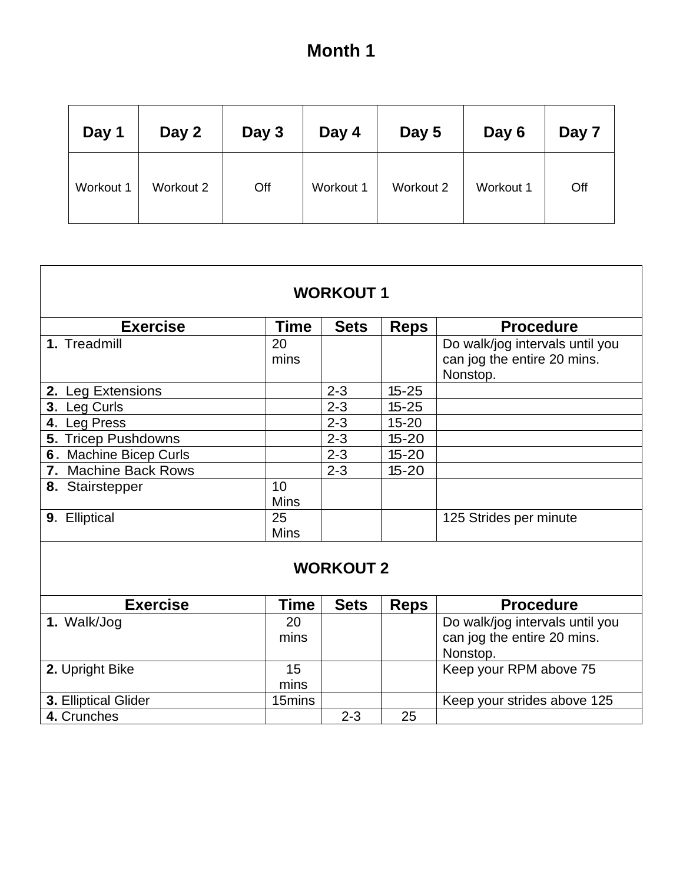# **Month 1**

| Day 1     | Day 2     | Day 3 | Day 4     | Day 5     | Day 6     | Day 7 |
|-----------|-----------|-------|-----------|-----------|-----------|-------|
| Workout 1 | Workout 2 | Off   | Workout 1 | Workout 2 | Workout 1 | Off   |

| <b>WORKOUT1</b>        |                   |             |             |                                                                            |  |  |  |  |
|------------------------|-------------------|-------------|-------------|----------------------------------------------------------------------------|--|--|--|--|
| <b>Exercise</b>        | <b>Time</b>       | <b>Sets</b> | <b>Reps</b> | <b>Procedure</b>                                                           |  |  |  |  |
| 1. Treadmill           | 20<br>mins        |             |             | Do walk/jog intervals until you<br>can jog the entire 20 mins.<br>Nonstop. |  |  |  |  |
| 2. Leg Extensions      |                   | $2 - 3$     | $15 - 25$   |                                                                            |  |  |  |  |
| 3. Leg Curls           |                   | $2 - 3$     | $15 - 25$   |                                                                            |  |  |  |  |
| 4. Leg Press           |                   | $2 - 3$     | $15 - 20$   |                                                                            |  |  |  |  |
| 5. Tricep Pushdowns    |                   | $2 - 3$     | $15 - 20$   |                                                                            |  |  |  |  |
| 6. Machine Bicep Curls |                   | $2 - 3$     | $15 - 20$   |                                                                            |  |  |  |  |
| 7. Machine Back Rows   |                   | $2 - 3$     | $15 - 20$   |                                                                            |  |  |  |  |
| 8. Stairstepper        | 10<br><b>Mins</b> |             |             |                                                                            |  |  |  |  |
| 9. Elliptical          | 25<br><b>Mins</b> |             |             | 125 Strides per minute                                                     |  |  |  |  |
| <b>WORKOUT 2</b>       |                   |             |             |                                                                            |  |  |  |  |
| <b>Exercise</b>        | <b>Time</b>       | <b>Sets</b> | <b>Reps</b> | <b>Procedure</b>                                                           |  |  |  |  |
| 1. Walk/Jog            | 20<br>mins        |             |             | Do walk/jog intervals until you<br>can jog the entire 20 mins.<br>Nonstop. |  |  |  |  |
| 2. Upright Bike        | 15<br>mins        |             |             | Keep your RPM above 75                                                     |  |  |  |  |
| 3. Elliptical Glider   | 15mins            |             |             | Keep your strides above 125                                                |  |  |  |  |
| 4. Crunches            |                   | $2 - 3$     | 25          |                                                                            |  |  |  |  |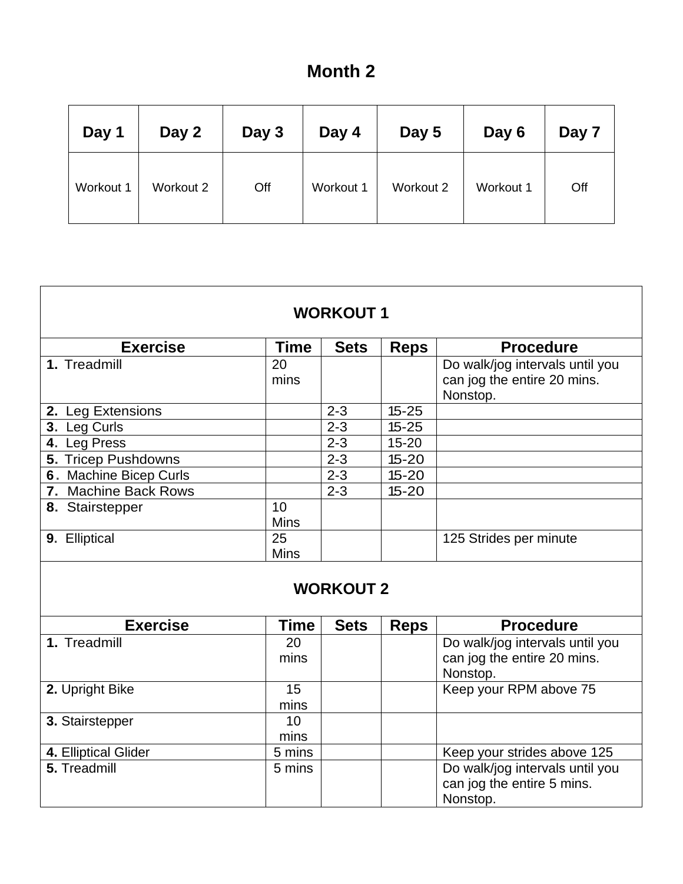## **Month 2**

| Day 1     | Day 2     | Day 3 | Day 4     | Day 5     | Day 6     | Day 7 |
|-----------|-----------|-------|-----------|-----------|-----------|-------|
| Workout 1 | Workout 2 | Off   | Workout 1 | Workout 2 | Workout 1 | Off   |

| <b>Exercise</b>        | Time        | <b>Sets</b> | <b>Reps</b> | <b>Procedure</b>                |  |  |
|------------------------|-------------|-------------|-------------|---------------------------------|--|--|
| 1. Treadmill           | 20          |             |             | Do walk/jog intervals until you |  |  |
|                        | mins        |             |             | can jog the entire 20 mins.     |  |  |
|                        |             |             |             | Nonstop.                        |  |  |
| 2. Leg Extensions      |             | $2 - 3$     | $15 - 25$   |                                 |  |  |
| 3. Leg Curls           |             | $2 - 3$     | $15 - 25$   |                                 |  |  |
| 4. Leg Press           |             | $2 - 3$     | $15 - 20$   |                                 |  |  |
| 5. Tricep Pushdowns    |             | $2 - 3$     | $15 - 20$   |                                 |  |  |
| 6. Machine Bicep Curls |             | $2 - 3$     | $15 - 20$   |                                 |  |  |
| 7. Machine Back Rows   |             | $2 - 3$     | $15 - 20$   |                                 |  |  |
| 8. Stairstepper        | 10          |             |             |                                 |  |  |
|                        | <b>Mins</b> |             |             |                                 |  |  |
| 9. Elliptical          | 25          |             |             | 125 Strides per minute          |  |  |
|                        | <b>Mins</b> |             |             |                                 |  |  |
|                        |             |             |             |                                 |  |  |
| <b>WORKOUT 2</b>       |             |             |             |                                 |  |  |
|                        |             |             |             |                                 |  |  |

| <b>Exercise</b>      | Time   | <b>Sets</b> | <b>Reps</b> | <b>Procedure</b>                |
|----------------------|--------|-------------|-------------|---------------------------------|
| 1. Treadmill         | 20     |             |             | Do walk/jog intervals until you |
|                      | mins   |             |             | can jog the entire 20 mins.     |
|                      |        |             |             | Nonstop.                        |
| 2. Upright Bike      | 15     |             |             | Keep your RPM above 75          |
|                      | mins   |             |             |                                 |
| 3. Stairstepper      | 10     |             |             |                                 |
|                      | mins   |             |             |                                 |
| 4. Elliptical Glider | 5 mins |             |             | Keep your strides above 125     |
| 5. Treadmill         | 5 mins |             |             | Do walk/jog intervals until you |
|                      |        |             |             | can jog the entire 5 mins.      |
|                      |        |             |             | Nonstop.                        |